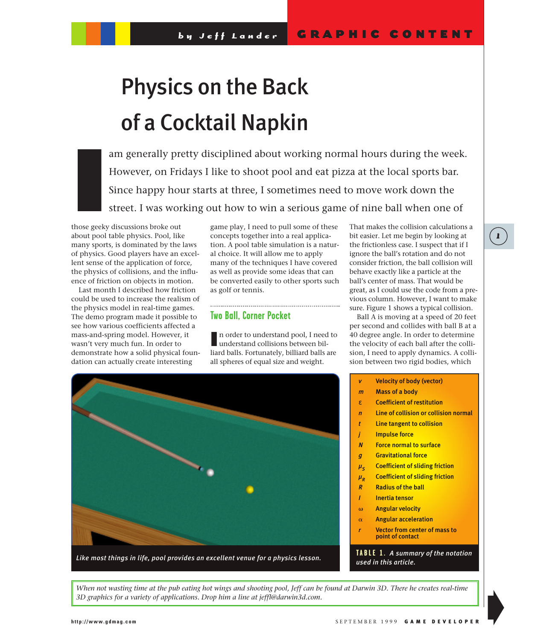# Physics on the Back of a Cocktail Napkin

am generally pretty disciplined about working normal hours during the week. However, on Fridays I like to shoot pool and eat pizza at the local sports bar. Since happy hour starts at three, I sometimes need to move work down the street. I was working out how to win a serious game of nine ball when one of

those geeky discussions broke out about pool table physics. Pool, like many sports, is dominated by the laws of physics. Good players have an excellent sense of the application of force, the physics of collisions, and the influence of friction on objects in motion. I<br>I<br>I<br>I

Last month I described how friction could be used to increase the realism of the physics model in real-time games. The demo program made it possible to see how various coefficients affected a mass-and-spring model. However, it wasn't very much fun. In order to demonstrate how a solid physical foundation can actually create interesting

game play, I need to pull some of these concepts together into a real application. A pool table simulation is a natural choice. It will allow me to apply many of the techniques I have covered as well as provide some ideas that can be converted easily to other sports such as golf or tennis.

## **Two Ball, Corner Pocket**

In order to understand pool, I need to understand collisions between bilunderstand collisions between billiard balls. Fortunately, billiard balls are all spheres of equal size and weight.

That makes the collision calculations a bit easier. Let me begin by looking at the frictionless case. I suspect that if I ignore the ball's rotation and do not consider friction, the ball collision will behave exactly like a particle at the ball's center of mass. That would be great, as I could use the code from a previous column. However, I want to make sure. Figure 1 shows a typical collision.

Ball A is moving at a speed of 20 feet per second and collides with ball B at a 40 degree angle. In order to determine the velocity of each ball after the collision, I need to apply dynamics. A collision between two rigid bodies, which



*v*  Velocity of body (vector)

- *m*  Mass of a body
- ε Coefficient of restitution
- **Line of collision or collision normal**
- *t*  Line tangent to collision
- **Impulse force**
- *N* Force normal to surface
- **g** Gravitational force
- $\mu_{\rm s}$  Coefficient of sliding friction
- $μ<sub>n</sub>$  Coefficient of sliding friction
- *R* Radius of the ball
- *I* Inertia tensor
- 
- $\omega$  Angular velocity
- $\alpha$  Angular acceleration
- **Vector from center of mass to** 
	- point of contact

**TABLE 1.** *A summary of the notation used in this article.*

*When not wasting time at the pub eating hot wings and shooting pool, Jeff can be found at Darwin 3D. There he creates real-time 3D graphics for a variety of applications. Drop him a line at jeffl@darwin3d.com.*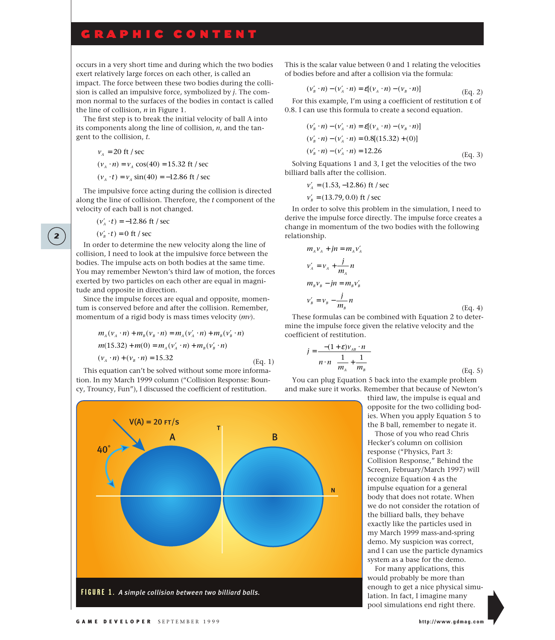# GRAPHIC CONTENT

occurs in a very short time and during which the two bodies exert relatively large forces on each other, is called an impact. The force between these two bodies during the collision is called an impulsive force, symbolized by *j*. The common normal to the surfaces of the bodies in contact is called the line of collision, *n* in Figure 1.

The first step is to break the initial velocity of ball A into its components along the line of collision, *n*, and the tangent to the collision, *t*.

$$
v_A = 20
$$
 ft / sec  
\n $(v_A \cdot n) = v_A \cos(40) = 15.32$  ft / sec  
\n $(v_A \cdot t) = v_A \sin(40) = -12.86$  ft / sec

The impulsive force acting during the collision is directed along the line of collision. Therefore, the *t* component of the velocity of each ball is not changed.

$$
(v'_A \cdot t) = -12.86
$$
 ft / sec

$$
(\nu'_B \cdot t) = 0 \text{ ft } / \text{ sec}
$$

**2**

In order to determine the new velocity along the line of collision, I need to look at the impulsive force between the bodies. The impulse acts on both bodies at the same time. You may remember Newton's third law of motion, the forces exerted by two particles on each other are equal in magnitude and opposite in direction.

Since the impulse forces are equal and opposite, momentum is conserved before and after the collision. Remember, momentum of a rigid body is mass times velocity (*mv*).

$$
m_A(v_A \cdot n) + m_B(v_B \cdot n) = m_A(v_A' \cdot n) + m_B(v_B' \cdot n)
$$
  
\n
$$
m(15.32) + m(0) = m_A(v_A' \cdot n) + m_B(v_B' \cdot n)
$$
  
\n
$$
(v_A \cdot n) + (v_B \cdot n) = 15.32
$$
  
\n(Eq. 1)

This equation can't be solved without some more information. In my March 1999 column ("Collision Response: Bouncy, Trouncy, Fun"), I discussed the coefficient of restitution.

This is the scalar value between 0 and 1 relating the velocities of bodies before and after a collision via the formula:

$$
(\nu'_B \cdot n) - (\nu'_A \cdot n) = \varepsilon [(\nu_A \cdot n) - (\nu_B \cdot n)] \tag{Eq. 2}
$$

For this example, I'm using a coefficient of restitution ε of 0.8. I can use this formula to create a second equation.

$$
(v'_B \cdot n) - (v'_A \cdot n) = \varepsilon[(v_A \cdot n) - (v_B \cdot n)]
$$
  
\n
$$
(v'_B \cdot n) - (v'_A \cdot n) = 0.8[(15.32) + (0)]
$$
  
\n
$$
(v'_B \cdot n) - (v'_A \cdot n) = 12.26
$$
  
\n(Eq. 3)

Solving Equations 1 and 3, I get the velocities of the two billiard balls after the collision.

$$
v'_A
$$
 = (1.53, -12.86) ft / sec  
 $v'_A$  = (13.79, 0.0) ft / sec

$$
v'_B
$$
 = (13.79, 0.0) ft / sec

In order to solve this problem in the simulation, I need to derive the impulse force directly. The impulse force creates a change in momentum of the two bodies with the following relationship.

$$
m_{A}v_{A} + jn = m_{A}v'_{A}
$$
  
\n
$$
v'_{A} = v_{A} + \frac{j}{m_{A}}n
$$
  
\n
$$
m_{B}v_{B} - jn = m_{B}v'_{B}
$$
  
\n
$$
v'_{B} = v_{B} - \frac{j}{m_{B}}n
$$
  
\n(Eq. 4)

These formulas can be combined with Equation 2 to determine the impulse force given the relative velocity and the coefficient of restitution.

$$
j = \frac{-(1+\varepsilon)v_{AB} \cdot n}{n \cdot n \left(\frac{1}{m_A} + \frac{1}{m_B}\right)}
$$
(Eq. 5)

You can plug Equation 5 back into the example problem and make sure it works. Remember that because of Newton's

> third law, the impulse is equal and opposite for the two colliding bodies. When you apply Equation 5 to the B ball, remember to negate it.

Those of you who read Chris Hecker's column on collision response ("Physics, Part 3: Collision Response," Behind the Screen, February/March 1997) will recognize Equation 4 as the impulse equation for a general body that does not rotate. When we do not consider the rotation of the billiard balls, they behave exactly like the particles used in my March 1999 mass-and-spring demo. My suspicion was correct, and I can use the particle dynamics system as a base for the demo.

For many applications, this would probably be more than enough to get a nice physical simulation. In fact, I imagine many pool simulations end right there.

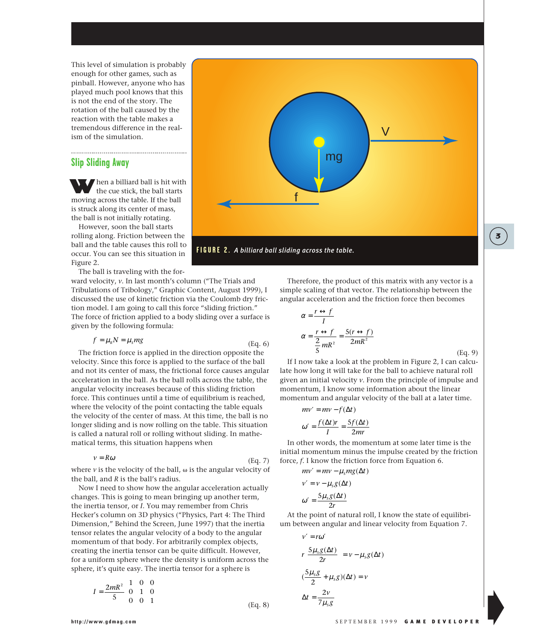This level of simulation is probably enough for other games, such as pinball. However, anyone who has played much pool knows that this is not the end of the story. The rotation of the ball caused by the reaction with the table makes a tremendous difference in the realism of the simulation.

## **Slip Sliding Away**

When a billiard ball is hit with the cue stick, the ball starts moving across the table. If the ball is struck along its center of mass, the ball is not initially rotating.

However, soon the ball starts rolling along. Friction between the ball and the table causes this roll to occur. You can see this situation in Figure 2.

The ball is traveling with the for-

ward velocity, *v*. In last month's column ("The Trials and Tribulations of Tribology," Graphic Content, August 1999), I discussed the use of kinetic friction via the Coulomb dry friction model. I am going to call this force "sliding friction." The force of friction applied to a body sliding over a surface is given by the following formula:

$$
f = \mu_k N = \mu_s mg \tag{Eq. 6}
$$

The friction force is applied in the direction opposite the velocity. Since this force is applied to the surface of the ball and not its center of mass, the frictional force causes angular acceleration in the ball. As the ball rolls across the table, the angular velocity increases because of this sliding friction force. This continues until a time of equilibrium is reached, where the velocity of the point contacting the table equals the velocity of the center of mass. At this time, the ball is no longer sliding and is now rolling on the table. This situation is called a natural roll or rolling without sliding. In mathematical terms, this situation happens when

$$
v = R\omega \tag{Eq. 7}
$$

where  $\nu$  is the velocity of the ball,  $\omega$  is the angular velocity of the ball, and *R* is the ball's radius.

Now I need to show how the angular acceleration actually changes. This is going to mean bringing up another term, the inertia tensor, or *I*. You may remember from Chris Hecker's column on 3D physics ("Physics, Part 4: The Third Dimension," Behind the Screen, June 1997) that the inertia tensor relates the angular velocity of a body to the angular momentum of that body. For arbitrarily complex objects, creating the inertia tensor can be quite difficult. However, for a uniform sphere where the density is uniform across the sphere, it's quite easy. The inertia tensor for a sphere is

$$
I = \frac{2mR^2}{5} \begin{bmatrix} 1 & 0 & 0 \\ 0 & 1 & 0 \\ 0 & 0 & 1 \end{bmatrix}
$$
 (Eq. 8)

Therefore, the product of this matrix with any vector is a simple scaling of that vector. The relationship between the angular acceleration and the friction force then becomes

$$
\alpha = \frac{r \leftrightarrow f}{I}
$$

$$
\alpha = \frac{r \leftrightarrow f}{\frac{2}{5}mR^2} = \frac{5(r \leftrightarrow f)}{2mR^2}
$$

If I now take a look at the problem in Figure 2, I can calculate how long it will take for the ball to achieve natural roll given an initial velocity *v*. From the principle of impulse and momentum, I know some information about the linear momentum and angular velocity of the ball at a later time.

(Eq. 9)

**3**

 $mv' = mv - f(\Delta t)$ 

$$
\omega' = \frac{f(\Delta t)r}{I} = \frac{5f(\Delta t)}{2mr}
$$

In other words, the momentum at some later time is the initial momentum minus the impulse created by the friction force, *f*. I know the friction force from Equation 6.

$$
mv' = mv - \mu_s mg(\Delta t)
$$

$$
v' = v - \mu_s g(\Delta t)
$$

$$
\omega' = \frac{5\mu_s g(\Delta t)}{2r}
$$

At the point of natural roll, I know the state of equilibrium between angular and linear velocity from Equation 7.

$$
v' = r\omega'
$$
  

$$
r\left[\frac{S\mu_s g(\Delta t)}{2r}\right] = v - \mu_s g(\Delta t)
$$
  

$$
(\frac{S\mu_s g}{2} + \mu_s g)(\Delta t) = v
$$
  

$$
\Delta t = \frac{2v}{7\mu_s g}
$$

#### **http://www.gdmag.com** SEPTEMBER 1999 GAME DEVELOPER